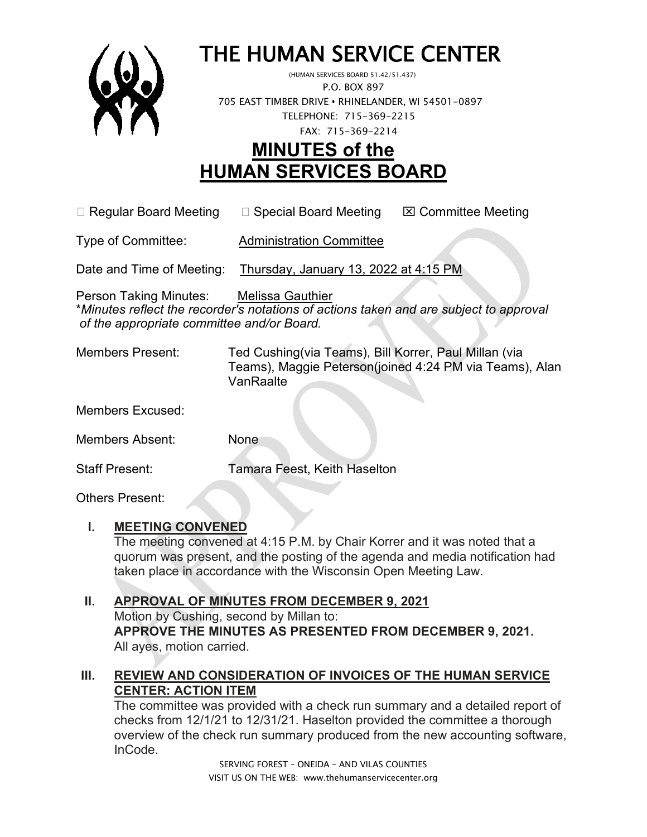

# THE HUMAN SERVICE CENTER (HUMAN SERVICES BOARD 51.42/51.437)

 P.O. BOX 897 705 EAST TIMBER DRIVE **•** RHINELANDER, WI 54501-0897 TELEPHONE: 715-369-2215 FAX: 715-369-2214

# **MINUTES of the HUMAN SERVICES BOARD**

 $\Box$  Regular Board Meeting  $\Box$  Special Board Meeting  $\Box$  Committee Meeting

Type of Committee: Administration Committee

Date and Time of Meeting: Thursday, January 13, 2022 at 4:15 PM

Person Taking Minutes: Melissa Gauthier \**Minutes reflect the recorder's notations of actions taken and are subject to approval of the appropriate committee and/or Board.*

Members Present: Ted Cushing(via Teams), Bill Korrer, Paul Millan (via Teams), Maggie Peterson(joined 4:24 PM via Teams), Alan VanRaalte

Members Excused:

Members Absent: None

Staff Present: Tamara Feest, Keith Haselton

Others Present:

#### **I. MEETING CONVENED**

The meeting convened at 4:15 P.M. by Chair Korrer and it was noted that a quorum was present, and the posting of the agenda and media notification had taken place in accordance with the Wisconsin Open Meeting Law.

#### **II. APPROVAL OF MINUTES FROM DECEMBER 9, 2021**

Motion by Cushing, second by Millan to: **APPROVE THE MINUTES AS PRESENTED FROM DECEMBER 9, 2021.**  All ayes, motion carried.

#### **III. REVIEW AND CONSIDERATION OF INVOICES OF THE HUMAN SERVICE CENTER: ACTION ITEM**

The committee was provided with a check run summary and a detailed report of checks from 12/1/21 to 12/31/21. Haselton provided the committee a thorough overview of the check run summary produced from the new accounting software, InCode.

> SERVING FOREST – ONEIDA – AND VILAS COUNTIES VISIT US ON THE WEB: www.thehumanservicecenter.org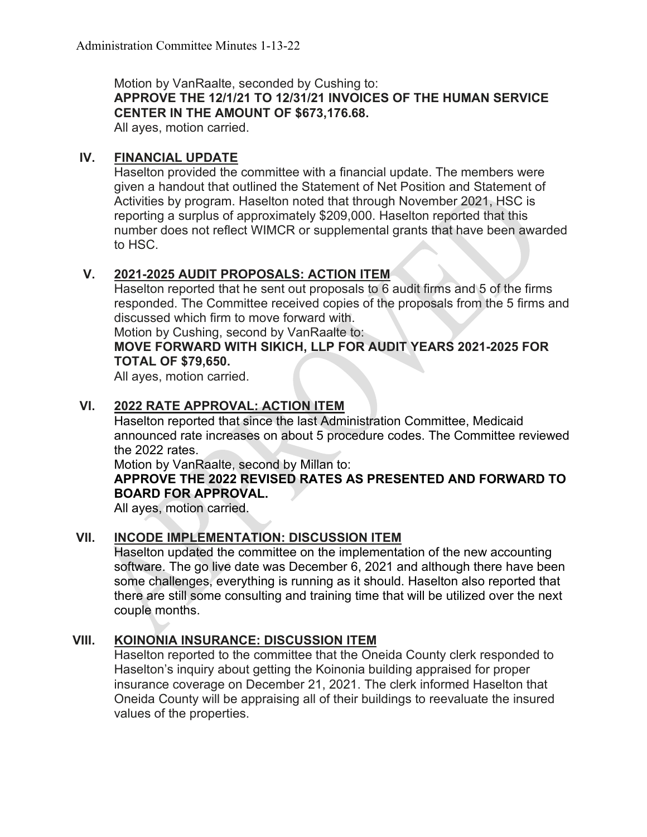Motion by VanRaalte, seconded by Cushing to:

**APPROVE THE 12/1/21 TO 12/31/21 INVOICES OF THE HUMAN SERVICE CENTER IN THE AMOUNT OF \$673,176.68.**

All ayes, motion carried.

#### **IV. FINANCIAL UPDATE**

Haselton provided the committee with a financial update. The members were given a handout that outlined the Statement of Net Position and Statement of Activities by program. Haselton noted that through November 2021, HSC is reporting a surplus of approximately \$209,000. Haselton reported that this number does not reflect WIMCR or supplemental grants that have been awarded to HSC.

### **V. 2021-2025 AUDIT PROPOSALS: ACTION ITEM**

Haselton reported that he sent out proposals to 6 audit firms and 5 of the firms responded. The Committee received copies of the proposals from the 5 firms and discussed which firm to move forward with.

Motion by Cushing, second by VanRaalte to:

#### **MOVE FORWARD WITH SIKICH, LLP FOR AUDIT YEARS 2021-2025 FOR TOTAL OF \$79,650.**

All ayes, motion carried.

#### **VI. 2022 RATE APPROVAL: ACTION ITEM**

Haselton reported that since the last Administration Committee, Medicaid announced rate increases on about 5 procedure codes. The Committee reviewed the 2022 rates.

Motion by VanRaalte, second by Millan to:

#### **APPROVE THE 2022 REVISED RATES AS PRESENTED AND FORWARD TO BOARD FOR APPROVAL.**

All ayes, motion carried.

#### **VII. INCODE IMPLEMENTATION: DISCUSSION ITEM**

Haselton updated the committee on the implementation of the new accounting software. The go live date was December 6, 2021 and although there have been some challenges, everything is running as it should. Haselton also reported that there are still some consulting and training time that will be utilized over the next couple months.

#### **VIII. KOINONIA INSURANCE: DISCUSSION ITEM**

Haselton reported to the committee that the Oneida County clerk responded to Haselton's inquiry about getting the Koinonia building appraised for proper insurance coverage on December 21, 2021. The clerk informed Haselton that Oneida County will be appraising all of their buildings to reevaluate the insured values of the properties.